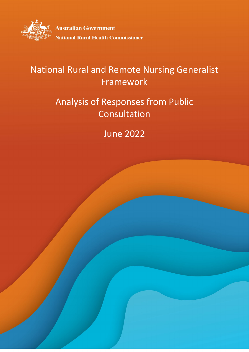

**Australian Government National Rural Health Commissioner** 

# National Rural and Remote Nursing Generalist Framework

# Analysis of Responses from Public Consultation

# June 2022

1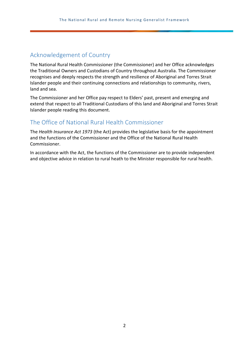## <span id="page-1-0"></span>Acknowledgement of Country

The National Rural Health Commissioner (the Commissioner) and her Office acknowledges the Traditional Owners and Custodians of Country throughout Australia. The Commissioner recognises and deeply respects the strength and resilience of Aboriginal and Torres Strait Islander people and their continuing connections and relationships to community, rivers, land and sea.

The Commissioner and her Office pay respect to Elders' past, present and emerging and extend that respect to all Traditional Custodians of this land and Aboriginal and Torres Strait Islander people reading this document.

## <span id="page-1-1"></span>The Office of National Rural Health Commissioner

The *Health Insurance Act 1973* (the Act) provides the legislative basis for the appointment and the functions of the Commissioner and the Office of the National Rural Health Commissioner.

In accordance with the Act, the functions of the Commissioner are to provide independent and objective advice in relation to rural heath to the Minister responsible for rural health.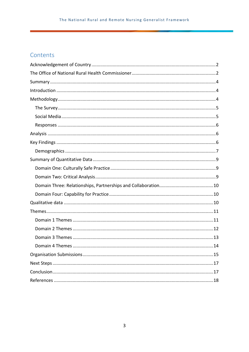## Contents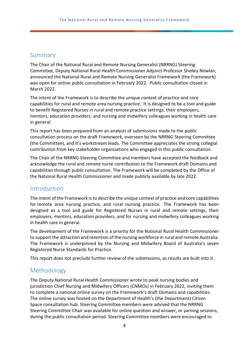## <span id="page-3-0"></span>Summary

The Chair of the National Rural and Remote Nursing Generalist (NRRNG) Steering Committee, Deputy National Rural Health Commissioner Adjunct Professor Shelley Nowlan, announced the National Rural and Remote Nursing Generalist Framework (the Framework) was open for online public consultation in February 2022. Public consultation closed in March 2022.

The intent of the Framework is to describe the unique context of practice and core capabilities for rural and remote area nursing practice. It is designed to be a tool and guide to benefit Registered Nurses in rural and remote practice settings, their employers, mentors, education providers, and nursing and midwifery colleagues working in health care in general.

This report has been prepared from an analysis of submissions made to the public consultation process on the draft Framework, overseen by the NRRNG Steering Committee (the Committee), and it's workstream leads. The Committee appreciates the strong collegial contribution from key stakeholder organisations who engaged in this public consultation.

The Chair of the NRRNG Steering Committee and members have accepted the feedback and acknowledge the rural and remote nurse contribution to the Framework draft Domains and capabilities through public consultation. The Framework will be completed by the Office of the National Rural Health Commissioner and made publicly available by late 2022.

#### <span id="page-3-1"></span>Introduction

The intent of the Framework is to describe the unique context of practice and core capabilities for remote area nursing practice, and rural nursing practice. The Framework has been designed as a tool and guide for Registered Nurses in rural and remote settings, their employers, mentors, education providers, and for nursing and midwifery colleagues working in health care in general.

The development of the Framework is a priority for the National Rural Health Commissioner to support the attraction and retention of the nursing workforce in rural and remote Australia. The Framework is underpinned by the Nursing and Midwifery Board of Australia's seven Registered Nurse Standards for Practice.

<span id="page-3-2"></span>This report does not preclude further review of the submissions, as results are built into it.

## Methodology

The Deputy National Rural Health Commissioner wrote to peak nursing bodies and jurisdiction Chief Nursing and Midwifery Officers (CNMOs) in February 2022, inviting them to complete a national online survey on the Framework's draft Domains and capabilities. The online survey was hosted on the Department of Health's (the Department) Citizen Space consultation hub. Steering Committee members were advised that the NRRNG Steering Committee Chair was available for online question and answer, or yarning sessions, during the public consultation period. Steering Committee members were encouraged to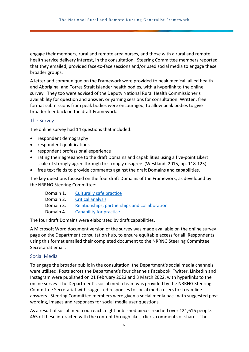engage their members, rural and remote area nurses, and those with a rural and remote health service delivery interest, in the consultation. Steering Committee members reported that they emailed, provided face-to-face sessions and/or used social media to engage these broader groups.

A letter and communique on the Framework were provided to peak medical, allied health and Aboriginal and Torres Strait Islander health bodies, with a hyperlink to the online survey. They too were advised of the Deputy National Rural Health Commissioner's availability for question and answer, or yarning sessions for consultation. Written, free format submissions from peak bodies were encouraged, to allow peak bodies to give broader feedback on the draft Framework.

#### <span id="page-4-0"></span>The Survey

The online survey had 14 questions that included:

- respondent demography
- respondent qualifications
- respondent professional experience
- rating their agreeance to the draft Domains and capabilities using a five-point Likert scale of strongly agree through to strongly disagree (Westland, 2015, pp. 118-125)
- free text fields to provide comments against the draft Domains and capabilities.

The key questions focused on the four draft Domains of the Framework, as developed by the NRRNG Steering Committee:

| Domain 1. | Culturally safe practice                      |
|-----------|-----------------------------------------------|
| Domain 2. | <b>Critical analysis</b>                      |
| Domain 3. | Relationships, partnerships and collaboration |
| Domain 1  | Canability for practice                       |

Domain 4. [Capability for practice](#page-9-1)

The four draft Domains were elaborated by draft capabilities.

A Microsoft Word document version of the survey was made available on the online survey page on the Department consultation hub, to ensure equitable access for all. Respondents using this format emailed their completed document to the NRRNG Steering Committee Secretariat email.

#### <span id="page-4-1"></span>Social Media

To engage the broader public in the consultation, the Department's social media channels were utilised. Posts across the Department's four channels Facebook, Twitter, LinkedIn and Instagram were published on 21 February 2022 and 3 March 2022, with hyperlinks to the online survey. The Department's social media team was provided by the NRRNG Steering Committee Secretariat with suggested responses to social media users to streamline answers. Steering Committee members were given a social media pack with suggested post wording, images and responses for social media user questions.

As a result of social media outreach, eight published pieces reached over 121,616 people. 465 of these interacted with the content through likes, clicks, comments or shares. The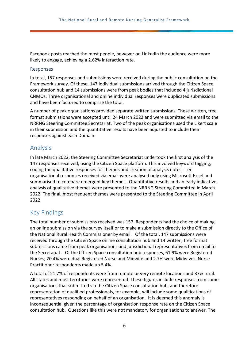Facebook posts reached the most people, however on LinkedIn the audience were more likely to engage, achieving a 2.62% interaction rate.

#### <span id="page-5-0"></span>Responses

In total, 157 responses and submissions were received during the public consultation on the Framework survey. Of these, 147 individual submissions arrived through the Citizen Space consultation hub and 14 submissions were from peak bodies that included 4 jurisdictional CNMOs. Three organisational and online individual responses were duplicated submissions and have been factored to comprise the total.

A number of peak organisations provided separate written submissions. These written, free format submissions were accepted until 24 March 2022 and were submitted via email to the NRRNG Steering Committee Secretariat. Two of the peak organisations used the Likert scale in their submission and the quantitative results have been adjusted to include their responses against each Domain.

### <span id="page-5-1"></span>Analysis

In late March 2022, the Steering Committee Secretariat undertook the first analysis of the 147 responses received, using the Citizen Space platform. This involved keyword tagging, coding the qualitative responses for themes and creation of analysis notes. Ten organisational responses received via email were analysed only using Microsoft Excel and summarised to compare emergent key themes. Quantitative results and an early indicative analysis of qualitative themes were presented to the NRRNG Steering Committee in March 2022. The final, most frequent themes were presented to the Steering Committee in April 2022.

## <span id="page-5-2"></span>Key Findings

The total number of submissions received was 157. Respondents had the choice of making an online submission via the survey itself or to make a submission directly to the Office of the National Rural Health Commissioner by email. Of the total, 147 submissions were received through the Citizen Space online consultation hub and 14 written, free format submissions came from peak organisations and jurisdictional representatives from email to the Secretariat. Of the Citizen Space consultation hub responses, 61.9% were Registered Nurses, 20.4% were dual Registered Nurse and Midwife and 2.7% were Midwives. Nurse Practitioner respondents made up 5.4%.

A total of 51.7% of respondents were from remote or very remote locations and 37% rural. All states and most territories were represented. These figures include responses from some organisations that submitted via the Citizen Space consultation hub, and therefore representation of qualified professionals, for example, will include some qualifications of representatives responding on behalf of an organisation. It is deemed this anomaly is inconsequential given the percentage of organisation response rate on the Citizen Space consultation hub. Questions like this were not mandatory for organisations to answer. The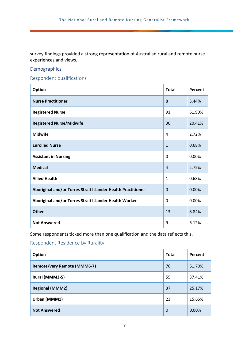survey findings provided a strong representation of Australian rural and remote nurse experiences and views.

#### <span id="page-6-0"></span>Demographics

Respondent qualifications

| <b>Option</b>                                                | <b>Total</b>   | Percent |
|--------------------------------------------------------------|----------------|---------|
| <b>Nurse Practitioner</b>                                    | 8              | 5.44%   |
| <b>Registered Nurse</b>                                      | 91             | 61.90%  |
| <b>Registered Nurse/Midwife</b>                              | 30             | 20.41%  |
| <b>Midwife</b>                                               | 4              | 2.72%   |
| <b>Enrolled Nurse</b>                                        | $\mathbf{1}$   | 0.68%   |
| <b>Assistant in Nursing</b>                                  | 0              | 0.00%   |
| <b>Medical</b>                                               | $\overline{4}$ | 2.72%   |
| <b>Allied Health</b>                                         | $\mathbf{1}$   | 0.68%   |
| Aboriginal and/or Torres Strait Islander Health Practitioner | $\overline{0}$ | 0.00%   |
| Aboriginal and/or Torres Strait Islander Health Worker       | 0              | 0.00%   |
| <b>Other</b>                                                 | 13             | 8.84%   |
| <b>Not Answered</b>                                          | 9              | 6.12%   |

Some respondents ticked more than one qualification and the data reflects this.

#### Respondent Residence by Rurality

| Option                             | <b>Total</b> | Percent |
|------------------------------------|--------------|---------|
| <b>Remote/very Remote (MMM6-7)</b> | 76           | 51.70%  |
| Rural (MMM3-5)                     | 55           | 37.41%  |
| <b>Regional (MMM2)</b>             | 37           | 25.17%  |
| Urban (MMM1)                       | 23           | 15.65%  |
| <b>Not Answered</b>                | 0            | 0.00%   |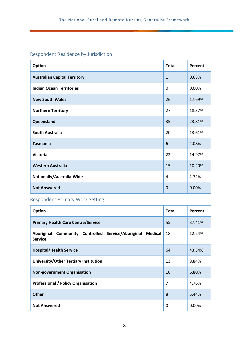## Respondent Residence by Jurisdiction

| <b>Option</b>                       | <b>Total</b> | Percent |
|-------------------------------------|--------------|---------|
| <b>Australian Capital Territory</b> | $\mathbf{1}$ | 0.68%   |
| <b>Indian Ocean Territories</b>     | $\Omega$     | 0.00%   |
| <b>New South Wales</b>              | 26           | 17.69%  |
| <b>Northern Territory</b>           | 27           | 18.37%  |
| Queensland                          | 35           | 23.81%  |
| <b>South Australia</b>              | 20           | 13.61%  |
| <b>Tasmania</b>                     | 6            | 4.08%   |
| <b>Victoria</b>                     | 22           | 14.97%  |
| <b>Western Australia</b>            | 15           | 10.20%  |
| Nationally/Australia-Wide           | 4            | 2.72%   |
| <b>Not Answered</b>                 | $\Omega$     | 0.00%   |

## Respondent Primary Work Setting

| Option                                                                                           | <b>Total</b> | Percent |
|--------------------------------------------------------------------------------------------------|--------------|---------|
| <b>Primary Health Care Centre/Service</b>                                                        | 55           | 37.41%  |
| <b>Community Controlled Service/Aboriginal</b><br>Aboriginal<br><b>Medical</b><br><b>Service</b> | 18           | 12.24%  |
| <b>Hospital/Health Service</b>                                                                   | 64           | 43.54%  |
| University/Other Tertiary Institution                                                            | 13           | 8.84%   |
| <b>Non-government Organisation</b>                                                               | 10           | 6.80%   |
| <b>Professional / Policy Organisation</b>                                                        | 7            | 4.76%   |
| <b>Other</b>                                                                                     | 8            | 5.44%   |
| <b>Not Answered</b>                                                                              | 0            | 0.00%   |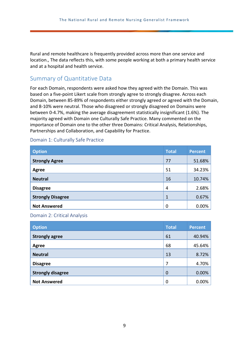Rural and remote healthcare is frequently provided across more than one service and location., The data reflects this, with some people working at both a primary health service and at a hospital and health service.

## <span id="page-8-0"></span>Summary of Quantitative Data

For each Domain, respondents were asked how they agreed with the Domain. This was based on a five-point Likert scale from strongly agree to strongly disagree. Across each Domain, between 85-89% of respondents either strongly agreed or agreed with the Domain, and 8-10% were neutral. Those who disagreed or strongly disagreed on Domains were between 0-4.7%, making the average disagreement statistically insignificant (1.6%). The majority agreed with Domain one Culturally Safe Practice. Many commented on the importance of Domain one to the other three Domains: Critical Analysis, Relationships, Partnerships and Collaboration, and Capability for Practice.

| <b>Option</b>            | <b>Total</b> | <b>Percent</b> |
|--------------------------|--------------|----------------|
| <b>Strongly Agree</b>    | 77           | 51.68%         |
| <b>Agree</b>             | 51           | 34.23%         |
| <b>Neutral</b>           | 16           | 10.74%         |
| <b>Disagree</b>          | 4            | 2.68%          |
| <b>Strongly Disagree</b> | $\mathbf{1}$ | 0.67%          |
| <b>Not Answered</b>      | $\mathbf 0$  | 0.00%          |

#### <span id="page-8-1"></span>Domain 1: Culturally Safe Practice

#### <span id="page-8-2"></span>Domain 2: Critical Analysis

| <b>Option</b>            | <b>Total</b> | <b>Percent</b> |
|--------------------------|--------------|----------------|
| <b>Strongly agree</b>    | 61           | 40.94%         |
| <b>Agree</b>             | 68           | 45.64%         |
| <b>Neutral</b>           | 13           | 8.72%          |
| <b>Disagree</b>          | 7            | 4.70%          |
| <b>Strongly disagree</b> | $\mathbf 0$  | 0.00%          |
| <b>Not Answered</b>      | 0            | 0.00%          |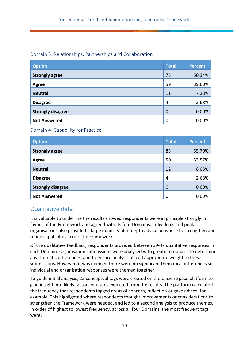#### <span id="page-9-0"></span>Domain 3: Relationships, Partnerships and Collaboration

| <b>Option</b>            | <b>Total</b>     | <b>Percent</b> |
|--------------------------|------------------|----------------|
| <b>Strongly agree</b>    | 75               | 50.34%         |
| <b>Agree</b>             | 59               | 39.60%         |
| <b>Neutral</b>           | 11               | 7.38%          |
| <b>Disagree</b>          | 4                | 2.68%          |
| <b>Strongly disagree</b> | $\boldsymbol{0}$ | 0.00%          |
| <b>Not Answered</b>      | 0                | 0.00%          |

<span id="page-9-1"></span>Domain 4: Capability for Practice

| <b>Option</b>            | <b>Total</b> | <b>Percent</b> |
|--------------------------|--------------|----------------|
| <b>Strongly agree</b>    | 83           | 55.70%         |
| Agree                    | 50           | 33.57%         |
| <b>Neutral</b>           | 12           | 8.05%          |
| <b>Disagree</b>          | 4            | 2.68%          |
| <b>Strongly disagree</b> | $\mathbf 0$  | 0.00%          |
| <b>Not Answered</b>      | 0            | 0.00%          |

## <span id="page-9-2"></span>Qualitative data

It is valuable to underline the results showed respondents were in principle strongly in favour of the Framework and agreed with its four Domains. Individuals and peak organisations also provided a large quantity of in-depth advice on where to strengthen and refine capabilities across the Framework.

Of the qualitative feedback, respondents provided between 39-47 qualitative responses in each Domain. Organisation submissions were analysed with greater emphasis to determine any thematic differences, and to ensure analysis placed appropriate weight to these submissions. However, it was deemed there were no significant thematical differences so individual and organisation responses were themed together.

To guide initial analysis, 22 conceptual tags were created on the Citizen Space platform to gain insight into likely factors or issues expected from the results. The platform calculated the frequency that respondents tagged areas of concern, reflection or gave advice, for example. This highlighted where respondents thought improvements or considerations to strengthen the Framework were needed. and led to a second analysis to produce themes. In order of highest to lowest frequency, across all four Domains, the most frequent tags were: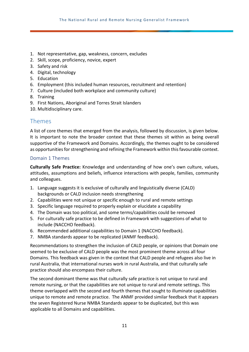- 1. Not representative, gap, weakness, concern, excludes
- 2. Skill, scope, proficiency, novice, expert
- 3. Safety and risk
- 4. Digital, technology
- 5. Education
- 6. Employment (this included human resources, recruitment and retention)
- 7. Culture (included both workplace and community culture)
- 8. Training
- 9. First Nations, Aboriginal and Torres Strait Islanders
- <span id="page-10-0"></span>10. Multidisciplinary care.

### Themes

A list of core themes that emerged from the analysis, followed by discussion, is given below. It is important to note the broader context that these themes sit within as being overall supportive of the Framework and Domains. Accordingly, the themes ought to be considered as opportunities for strengthening and refining the Framework within this favourable context.

#### <span id="page-10-1"></span>Domain 1 Themes

**Culturally Safe Practice:** Knowledge and understanding of how one's own culture, values, attitudes, assumptions and beliefs, influence interactions with people, families, community and colleagues.

- 1. Language suggests it is exclusive of culturally and linguistically diverse (CALD) backgrounds or CALD inclusion needs strengthening
- 2. Capabilities were not unique or specific enough to rural and remote settings
- 3. Specific language required to properly explain or elucidate a capability
- 4. The Domain was too political, and some terms/capabilities could be removed
- 5. For culturally safe practice to be defined in Framework with suggestions of what to include (NACCHO feedback).
- 6. Recommended additional capabilities to Domain 1 (NACCHO feedback).
- 7. NMBA standards appear to be replicated (ANMF feedback).

Recommendations to strengthen the inclusion of CALD people, or opinions that Domain one seemed to be exclusive of CALD people was the most prominent theme across all four Domains. This feedback was given in the context that CALD people and refugees also live in rural Australia, that international nurses work in rural Australia, and that culturally safe practice should also encompass their culture.

The second dominant theme was that culturally safe practice is not unique to rural and remote nursing, or that the capabilities are not unique to rural and remote settings. This theme overlapped with the second and fourth themes that sought to illuminate capabilities unique to remote and remote practice. The ANMF provided similar feedback that it appears the seven Registered Nurse NMBA Standards appear to be duplicated, but this was applicable to all Domains and capabilities.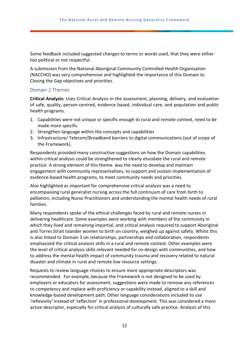Some feedback included suggested changes to terms or words used, that they were either too political or not respectful.

A submission from the National Aboriginal Community Controlled Health Organisation (NACCHO) was very comprehensive and highlighted the importance of this Domain to Closing the Gap objectives and priorities.

#### <span id="page-11-0"></span>Domain 2 Themes

**Critical Analysis:** Uses Critical Analysis in the assessment, planning, delivery, and evaluation of safe, quality, person-centred, evidence based, individual care, and population and public health programs.

- 1. Capabilities were not unique or specific enough to rural and remote context, need to be made more specific
- 2. Strengthen language within the concepts and capabilities
- 3. Infrastructure/ Telecom/Broadband barriers to digital communications (out of scope of the Framework).

Respondents provided many constructive suggestions on how the Domain capabilities within critical analysis could be strengthened to clearly elucidate the rural and remote practice. A strong element of this theme. was the need to develop and maintain engagement with community representatives, to support and sustain implementation of evidence-based health programs, to meet community needs and priorities.

Also highlighted as important for comprehensive critical analysis was a need to encompassing rural generalist nursing across the full continuum of care from birth to palliation, including Nurse Practitioners and understanding the mental health needs of rural families.

Many respondents spoke of the ethical challenges faced by rural and remote nurses in delivering healthcare. Some examples were working with members of the community in which they lived and remaining impartial, and critical analysis required to support Aboriginal and Torres Strait Islander women to birth on country, weighed up against safety. Whilst this is also linked to Domain 3 on relationships, partnerships and collaboration, respondents emphasized the critical analysis skills in a rural and remote context. Other examples were the level of critical analysis skills relevant needed for co-design with communities, and how to address the mental health impact of community trauma and recovery related to natural disaster and climate in rural and remote low resource settings.

Requests to review language choices to ensure more appropriate descriptors was recommended. For example, because the Framework is not designed to be used by employers or educators for assessment, suggestions were made to remove any references to competency and replace with proficiency or capability instead, aligned to a skill and knowledge-based development path. Other language considerations included to use 'reflexivity' instead of 'reflection' in professional development. This was considered a more active descriptor, especially for critical analysis of culturally safe practice. Analysis of this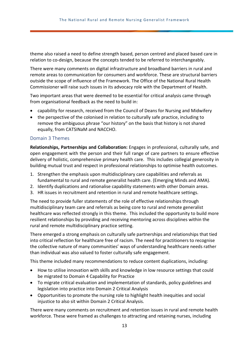theme also raised a need to define strength based, person centred and placed based care in relation to co-design, because the concepts tended to be referred to interchangeably.

There were many comments on digital infrastructure and broadband barriers in rural and remote areas to communication for consumers and workforce. These are structural barriers outside the scope of influence of the Framework. The Office of the National Rural Health Commissioner will raise such issues in its advocacy role with the Department of Health.

Two important areas that were deemed to be essential for critical analysis came through from organisational feedback as the need to build in:

- capability for research, received from the Council of Deans for Nursing and Midwifery
- the perspective of the colonised in relation to culturally safe practice, including to remove the ambiguous phrase "our history" on the basis that history is not shared equally, from CATSINaM and NACCHO.

#### <span id="page-12-0"></span>Domain 3 Themes

**Relationships, Partnerships and Collaboration:** Engages in professional, culturally safe, and open engagement with the person and their full range of care partners to ensure effective delivery of holistic, comprehensive primary health care. This includes collegial generosity in building mutual trust and respect in professional relationships to optimise health outcomes.

- 1. Strengthen the emphasis upon multidisciplinary care capabilities and referrals as fundamental to rural and remote generalist health care. (Emerging Minds and AMA).
- 2. Identify duplications and rationalise capability statements with other Domain areas.
- 3. HR issues in recruitment and retention in rural and remote healthcare settings.

The need to provide fuller statements of the role of effective relationships through multidisciplinary team care and referrals as being core to rural and remote generalist healthcare was reflected strongly in this theme. This included the opportunity to build more resilient relationships by providing and receiving mentoring across disciplines within the rural and remote multidisciplinary practice setting.

There emerged a strong emphasis on culturally safe partnerships and relationships that tied into critical reflection for healthcare free of racism. The need for practitioners to recognise the collective nature of many communities' ways of understanding healthcare needs rather than individual was also valued to foster culturally safe engagement.

This theme included many recommendations to reduce content duplications, including:

- How to utilise innovation with skills and knowledge in low resource settings that could be migrated to Domain 4 Capability for Practice
- To migrate critical evaluation and implementation of standards, policy guidelines and legislation into practice into Domain 2 Critical Analysis
- Opportunities to promote the nursing role to highlight health inequities and social injustice to also sit within Domain 2 Critical Analysis.

There were many comments on recruitment and retention issues in rural and remote health workforce. These were framed as challenges to attracting and retaining nurses, including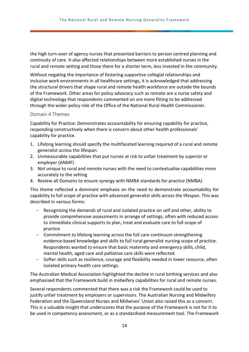the high turn-over of agency nurses that presented barriers to person centred planning and continuity of care. It also affected relationships between more established nurses in the rural and remote setting and those there for a shorter term, less invested in the community.

Without negating the importance of fostering supportive collegial relationships and inclusive work environments in all healthcare settings, it is acknowledged that addressing the structural drivers that shape rural and remote health workforce are outside the bounds of the Framework. Other areas for policy advocacy such as remote are a nurse safety and digital technology that respondents commented on are more fitting to be addressed through the wider policy role of the Office of the National Rural Health Commissioner.

#### <span id="page-13-0"></span>Domain 4 Themes

Capability for Practice: Demonstrates accountability for ensuring capability for practice, responding constructively when there is concern about other health professionals' capability for practice.

- 1. Lifelong learning should specify the multifaceted learning required of a rural and remote generalist across the lifespan
- 2. Unmeasurable capabilities that put nurses at risk to unfair treatment by superior or employer (ANMF)
- 3. Not unique to rural and remote nurses with the need to contextualise capabilities more accurately to the setting
- 4. Review all Domains to ensure synergy with NMBA standards for practice (NMBA)

This theme reflected a dominant emphasis on the need to demonstrate accountability for capability to full scope of practice with advanced generalist skills across the lifespan. This was described in various forms:

- Recognising the demands of rural and isolated practice on self and other, ability to provide comprehensive assessments in arrange of settings, often with reduced access to immediate clinical supports to plan, treat and evaluate care to full scope of practice
- Commitment to lifelong learning across the full care continuum strengthening evidence-based knowledge and skills to full rural generalist nursing scope of practice. Respondents wanted to ensure that basic maternity and emergency skills, child, mental health, aged care and palliative care skills were reflected.
- Softer skills such as resilience, courage and flexibility needed in lower resource, often isolated primary health care settings.

The Australian Medical Association highlighted the decline in rural birthing services and also emphasised that the Framework build in midwifery capabilities for rural and remote nurses.

Several respondents commented that there was a risk the Framework could be used to justify unfair treatment by employers or supervisors. The Australian Nursing and Midwifery Federation and the Queensland Nurses and Midwives' Union also raised this as a concern. This is a valuable insight that underscores that the purpose of the Framework is not for it to be used in competency assessment, or as a standardised measurement tool. The Framework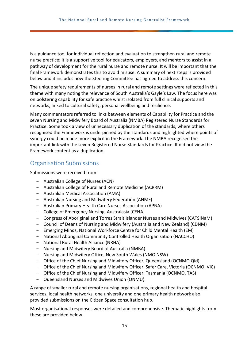is a guidance tool for individual reflection and evaluation to strengthen rural and remote nurse practice; it is a supportive tool for educators, employers, and mentors to assist in a pathway of development for the rural nurse and remote nurse. It will be important that the final Framework demonstrates this to avoid misuse. A summary of next steps is provided below and it includes how the Steering Committee has agreed to address this concern.

The unique safety requirements of nurses in rural and remote settings were reflected in this theme with many noting the relevance of South Australia's Gayle's Law. The focus here was on bolstering capability for safe practice whilst isolated from full clinical supports and networks, linked to cultural safety, personal wellbeing and resilience.

Many commentators referred to links between elements of Capability for Practice and the seven Nursing and Midwifery Board of Australia (NMBA) Registered Nurse Standards for Practice. Some took a view of unnecessary duplication of the standards, where others recognised the Framework is underpinned by the standards and highlighted where points of synergy could be made more explicit in the Framework. The NMBA recognised the important link with the seven Registered Nurse Standards for Practice. It did not view the Framework content as a duplication.

### <span id="page-14-0"></span>Organisation Submissions

Submissions were received from:

- Australian College of Nurses (ACN)
- Australian College of Rural and Remote Medicine (ACRRM)
- Australian Medical Association (AMA)
- Australian Nursing and Midwifery Federation (ANMF)
- Australian Primary Health Care Nurses Association (APNA)
- College of Emergency Nursing, Australasia (CENA)
- Congress of Aboriginal and Torres Strait Islander Nurses and Midwives (CATSINaM)
- Council of Deans of Nursing and Midwifery (Australia and New Zealand) (CDNM)
- Emerging Minds, National Workforce Centre for Child Mental Health (EM)
- National Aboriginal Community Controlled Health Organisation (NACCHO)
- National Rural Health Alliance (NRHA)
- Nursing and Midwifery Board of Australia (NMBA)
- Nursing and Midwifery Office, New South Wales (NMO NSW)
- Office of the Chief Nursing and Midwifery Officer, Queensland (OCNMO Qld)
- Office of the Chief Nursing and Midwifery Officer, Safer Care, Victoria (OCNMO, VIC)
- Office of the Chief Nursing and Midwifery Officer, Tasmania (OCNMO, TAS)
- Queensland Nurses and Midwives Union (QNMU).

A range of smaller rural and remote nursing organisations, regional health and hospital services, local health networks, one university and one primary health network also provided submissions on the Citizen Space consultation hub.

Most organisational responses were detailed and comprehensive. Thematic highlights from these are provided below.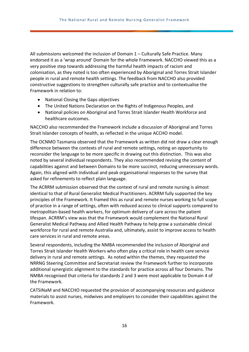All submissions welcomed the inclusion of Domain 1 – Culturally Safe Practice. Many endorsed it as a 'wrap around' Domain for the whole Framework. NACCHO viewed this as a very positive step towards addressing the harmful health impacts of racism and colonisation, as they noted is too often experienced by Aboriginal and Torres Strait Islander people in rural and remote health settings. The feedback from NACCHO also provided constructive suggestions to strengthen culturally safe practice and to contextualise the Framework in relation to:

- National Closing the Gaps objectives
- The United Nations Declaration on the Rights of Indigenous Peoples, and
- National policies on Aboriginal and Torres Strait Islander Health Workforce and healthcare outcomes.

NACCHO also recommended the Framework include a discussion of Aboriginal and Torres Strait Islander concepts of health, as reflected in the unique ACCHO model.

The OCNMO Tasmania observed that the Framework as written did not draw a clear enough difference between the contexts of rural and remote settings, noting an opportunity to reconsider the language to be more specific in drawing out this distinction. This was also noted by several individual respondents. They also recommended revising the content of capabilities against and between Domains to be more succinct, reducing unnecessary words. Again, this aligned with individual and peak organisational responses to the survey that asked for refinements to reflect plain language.

The ACRRM submission observed that the context of rural and remote nursing is almost identical to that of Rural Generalist Medical Practitioners. ACRRM fully supported the key principles of the Framework. It framed this as rural and remote nurses working to full scope of practice in a range of settings, often with reduced access to clinical supports compared to metropolitan-based health workers, for optimum delivery of care across the patient lifespan. ACRRM's view was that the Framework would complement the National Rural Generalist Medical Pathway and Allied Health Pathway to help grow a sustainable clinical workforce for rural and remote Australia and, ultimately, assist to improve access to health care services in rural and remote areas.

Several respondents, including the NMBA recommended the inclusion of Aboriginal and Torres Strait Islander Health Workers who often play a critical role in health care service delivery in rural and remote settings. As noted within the themes, they requested the NRRNG Steering Committee and Secretariat review the Framework further to incorporate additional synergistic alignment to the standards for practice across all four Domains. The NMBA recognised that criteria for standards 2 and 3 were most applicable to Domain 4 of the Framework.

CATSINaM and NACCHO requested the provision of accompanying resources and guidance materials to assist nurses, midwives and employers to consider their capabilities against the Framework.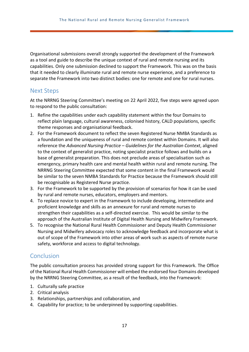Organisational submissions overall strongly supported the development of the Framework as a tool and guide to describe the unique context of rural and remote nursing and its capabilities. Only one submission declined to support the Framework. This was on the basis that it needed to clearly illuminate rural and remote nurse experience, and a preference to separate the Framework into two distinct bodies: one for remote and one for rural nurses.

### <span id="page-16-0"></span>Next Steps

At the NRRNG Steering Committee's meeting on 22 April 2022, five steps were agreed upon to respond to the public consultation:

- 1. Refine the capabilities under each capability statement within the four Domains to reflect plain language, cultural awareness, colonised history, CALD populations, specific theme responses and organisational feedback.
- 2. For the Framework document to reflect the seven Registered Nurse NMBA Standards as a foundation and the uniqueness of rural and remote context within Domains. It will also reference the *Advanced Nursing Practice – Guidelines for the Australian Context*, aligned to the context of generalist practice, noting specialist practice follows and builds on a base of generalist preparation. This does not preclude areas of specialisation such as emergency, primary health care and mental health within rural and remote nursing. The NRRNG Steering Committee expected that some content in the final Framework would be similar to the seven NMBA Standards for Practice because the Framework should still be recognisable as Registered Nurse practice.
- 3. For the Framework to be supported by the provision of scenarios for how it can be used by rural and remote nurses, educators, employers and mentors.
- 4. To replace novice to expert in the Framework to include developing, intermediate and proficient knowledge and skills as an annexure for rural and remote nurses to strengthen their capabilities as a self-directed exercise. This would be similar to the approach of the Australian Institute of Digital Health Nursing and Midwifery Framework.
- 5. To recognise the National Rural Health Commissioner and Deputy Health Commissioner Nursing and Midwifery advocacy roles to acknowledge feedback and incorporate what is out of scope of the Framework into other areas of work such as aspects of remote nurse safety, workforce and access to digital technology.

## <span id="page-16-1"></span>Conclusion

The public consultation process has provided strong support for this Framework. The Office of the National Rural Health Commissioner will embed the endorsed four Domains developed by the NRRNG Steering Committee, as a result of the feedback, into the Framework:

- 1. Culturally safe practice
- 2. Critical analysis
- 3. Relationships, partnerships and collaboration, and
- 4. Capability for practice; to be underpinned by supporting capabilities.